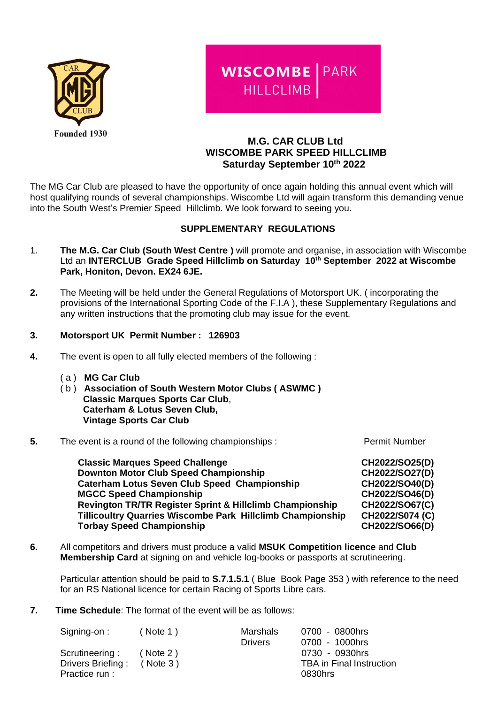

# **WISCOMBE | PARK HILLCLIMB**

# **M.G. CAR CLUB Ltd WISCOMBE PARK SPEED HILLCLIMB Saturday September 10 th 2022**

The MG Car Club are pleased to have the opportunity of once again holding this annual event which will host qualifying rounds of several championships. Wiscombe Ltd will again transform this demanding venue into the South West's Premier Speed Hillclimb. We look forward to seeing you.

# **SUPPLEMENTARY REGULATIONS**

- 1. **The M.G. Car Club (South West Centre )** will promote and organise, in association with Wiscombe Ltd an **INTERCLUB Grade Speed Hillclimb on Saturday 10 th September 2022 at Wiscombe Park, Honiton, Devon. EX24 6JE.**
- **2.** The Meeting will be held under the General Regulations of Motorsport UK. ( incorporating the provisions of the International Sporting Code of the F.I.A ), these Supplementary Regulations and any written instructions that the promoting club may issue for the event.

# **3. Motorsport UK Permit Number : 126903**

- **4.** The event is open to all fully elected members of the following :
	- ( a ) **MG Car Club**
	- ( b ) **Association of South Western Motor Clubs ( ASWMC ) Classic Marques Sports Car Club**,  **Caterham & Lotus Seven Club, Vintage Sports Car Club**
- **5.** The event is a round of the following championships : Permit Number

 **Classic Marques Speed Challenge CH2022/SO25(D) Downton Motor Club Speed Championship CH2022/SO27(D) Caterham Lotus Seven Club Speed Championship CH2022/SO40(D) MGCC Speed Championship CH2022/SO46(D) Revington TR/TR Register Sprint & Hillclimb Championship CH2022/SO67(C) Tillicoultry Quarries Wiscombe Park Hillclimb Championship CH2022/S074 (C) Torbay Speed Championship CH2022/SO66(D)**

**6.** All competitors and drivers must produce a valid **MSUK Competition licence** and **Club Membership Card** at signing on and vehicle log-books or passports at scrutineering.

Particular attention should be paid to **S.7.1.5.1** ( Blue Book Page 353 ) with reference to the need for an RS National licence for certain Racing of Sports Libre cars.

**7. Time Schedule**: The format of the event will be as follows:

| Signing-on:                                           | ( Note 1)                   | Marshals<br><b>Drivers</b> | 0700 - 0800hrs<br>0700 - 1000hrs                             |
|-------------------------------------------------------|-----------------------------|----------------------------|--------------------------------------------------------------|
| Scrutineering:<br>Drivers Briefing:<br>Practice run : | ( Note 2)<br>$($ Note 3 $)$ |                            | 0730 - 0930hrs<br><b>TBA</b> in Final Instruction<br>0830hrs |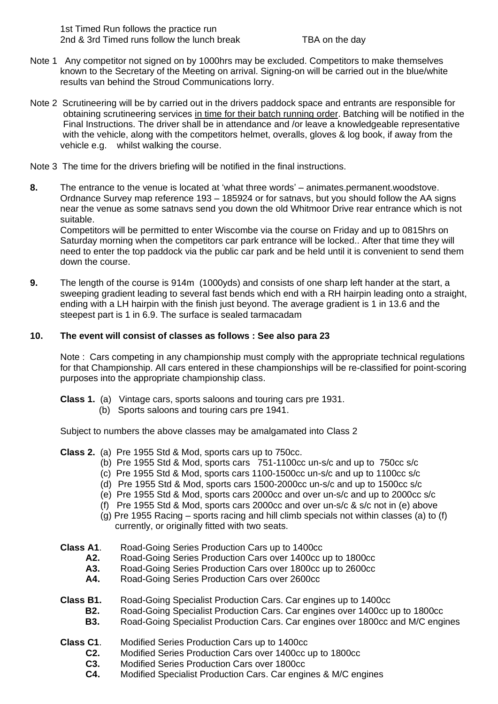1st Timed Run follows the practice run 2nd & 3rd Timed runs follow the lunch break TBA on the day

- Note 1 Any competitor not signed on by 1000hrs may be excluded. Competitors to make themselves known to the Secretary of the Meeting on arrival. Signing-on will be carried out in the blue/white results van behind the Stroud Communications lorry.
- Note 2 Scrutineering will be by carried out in the drivers paddock space and entrants are responsible for obtaining scrutineering services in time for their batch running order. Batching will be notified in the Final Instructions. The driver shall be in attendance and /or leave a knowledgeable representative with the vehicle, along with the competitors helmet, overalls, gloves & log book, if away from the vehicle e.g. whilst walking the course.
- Note 3 The time for the drivers briefing will be notified in the final instructions.
- **8.** The entrance to the venue is located at 'what three words' animates.permanent.woodstove. Ordnance Survey map reference 193 – 185924 or for satnavs, but you should follow the AA signs near the venue as some satnavs send you down the old Whitmoor Drive rear entrance which is not suitable.

Competitors will be permitted to enter Wiscombe via the course on Friday and up to 0815hrs on Saturday morning when the competitors car park entrance will be locked.. After that time they will need to enter the top paddock via the public car park and be held until it is convenient to send them down the course.

**9.** The length of the course is 914m (1000yds) and consists of one sharp left hander at the start, a sweeping gradient leading to several fast bends which end with a RH hairpin leading onto a straight, ending with a LH hairpin with the finish just beyond. The average gradient is 1 in 13.6 and the steepest part is 1 in 6.9. The surface is sealed tarmacadam

# **10. The event will consist of classes as follows : See also para 23**

Note : Cars competing in any championship must comply with the appropriate technical regulations for that Championship. All cars entered in these championships will be re-classified for point-scoring purposes into the appropriate championship class.

- **Class 1.** (a) Vintage cars, sports saloons and touring cars pre 1931.
	- (b) Sports saloons and touring cars pre 1941.

Subject to numbers the above classes may be amalgamated into Class 2

- **Class 2.** (a) Pre 1955 Std & Mod, sports cars up to 750cc.
	- (b) Pre 1955 Std & Mod, sports cars 751-1100cc un-s/c and up to 750cc s/c
	- (c) Pre 1955 Std & Mod, sports cars 1100-1500cc un-s/c and up to 1100cc s/c
	- (d) Pre 1955 Std & Mod, sports cars 1500-2000cc un-s/c and up to 1500cc s/c
	- (e) Pre 1955 Std & Mod, sports cars 2000cc and over un-s/c and up to 2000cc s/c
	- (f) Pre 1955 Std & Mod, sports cars 2000cc and over un-s/c & s/c not in (e) above
	- (g) Pre 1955 Racing sports racing and hill climb specials not within classes (a) to (f) currently, or originally fitted with two seats.
- **Class A1.** Road-Going Series Production Cars up to 1400cc<br>**A2.** Road-Going Series Production Cars over 1400cc u
	- **A2.** Road-Going Series Production Cars over 1400cc up to 1800cc
	- **A3.** Road-Going Series Production Cars over 1800cc up to 2600cc
	- **A4.** Road-Going Series Production Cars over 2600cc
- **Class B1.** Road-Going Specialist Production Cars. Car engines up to 1400cc
	- **B2.** Road-Going Specialist Production Cars. Car engines over 1400cc up to 1800cc
	- **B3.** Road-Going Specialist Production Cars. Car engines over 1800cc and M/C engines
- **Class C1**. Modified Series Production Cars up to 1400cc
	- **C2.** Modified Series Production Cars over 1400cc up to 1800cc
		- **C3.** Modified Series Production Cars over 1800cc
		- **C4.** Modified Specialist Production Cars. Car engines & M/C engines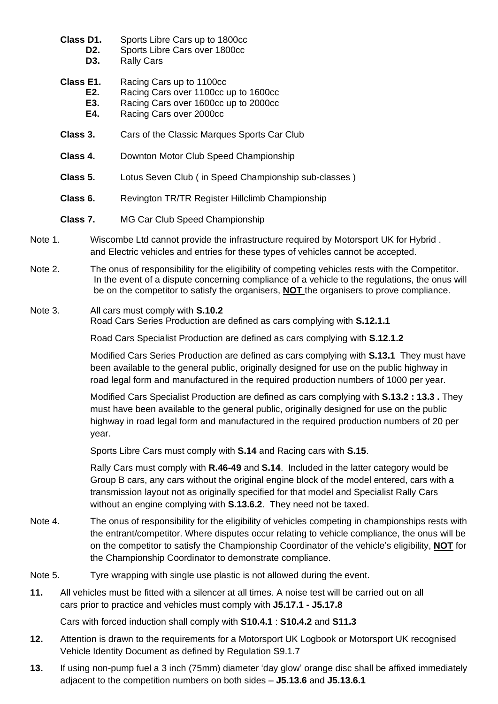- **Class D1.** Sports Libre Cars up to 1800cc
	- **D2.** Sports Libre Cars over 1800cc
		- **D3.** Rally Cars
- **Class E1.** Racing Cars up to 1100cc
	- **E2.** Racing Cars over 1100cc up to 1600cc **E3.** Racing Cars over 1600cc up to 2000cc
	- **E4.** Racing Cars over 2000cc
- **Class 3.** Cars of the Classic Marques Sports Car Club
- **Class 4.** Downton Motor Club Speed Championship
- **Class 5.** Lotus Seven Club ( in Speed Championship sub-classes )
- **Class 6.** Revington TR/TR Register Hillclimb Championship
- **Class 7.** MG Car Club Speed Championship
- Note 1. Wiscombe Ltd cannot provide the infrastructure required by Motorsport UK for Hybrid . and Electric vehicles and entries for these types of vehicles cannot be accepted.
- Note 2. The onus of responsibility for the eligibility of competing vehicles rests with the Competitor. In the event of a dispute concerning compliance of a vehicle to the regulations, the onus will be on the competitor to satisfy the organisers, **NOT** the organisers to prove compliance.

# Note 3. All cars must comply with **S.10.2** Road Cars Series Production are defined as cars complying with **S.12.1.1**

Road Cars Specialist Production are defined as cars complying with **S.12.1.2**

Modified Cars Series Production are defined as cars complying with **S.13.1** They must have been available to the general public, originally designed for use on the public highway in road legal form and manufactured in the required production numbers of 1000 per year.

Modified Cars Specialist Production are defined as cars complying with **S.13.2 : 13.3 .** They must have been available to the general public, originally designed for use on the public highway in road legal form and manufactured in the required production numbers of 20 per year.

Sports Libre Cars must comply with **S.14** and Racing cars with **S.15**.

Rally Cars must comply with **R.46-49** and **S.14**. Included in the latter category would be Group B cars, any cars without the original engine block of the model entered, cars with a transmission layout not as originally specified for that model and Specialist Rally Cars without an engine complying with **S.13.6.2**. They need not be taxed.

- Note 4. The onus of responsibility for the eligibility of vehicles competing in championships rests with the entrant/competitor. Where disputes occur relating to vehicle compliance, the onus will be on the competitor to satisfy the Championship Coordinator of the vehicle's eligibility, **NOT** for the Championship Coordinator to demonstrate compliance.
- Note 5. Tyre wrapping with single use plastic is not allowed during the event.
- **11.** All vehicles must be fitted with a silencer at all times. A noise test will be carried out on all cars prior to practice and vehicles must comply with **J5.17.1 - J5.17.8**

Cars with forced induction shall comply with **S10.4.1** : **S10.4.2** and **S11.3**

- **12.** Attention is drawn to the requirements for a Motorsport UK Logbook or Motorsport UK recognised Vehicle Identity Document as defined by Regulation S9.1.7
- **13.** If using non-pump fuel a 3 inch (75mm) diameter 'day glow' orange disc shall be affixed immediately adjacent to the competition numbers on both sides – **J5.13.6** and **J5.13.6.1**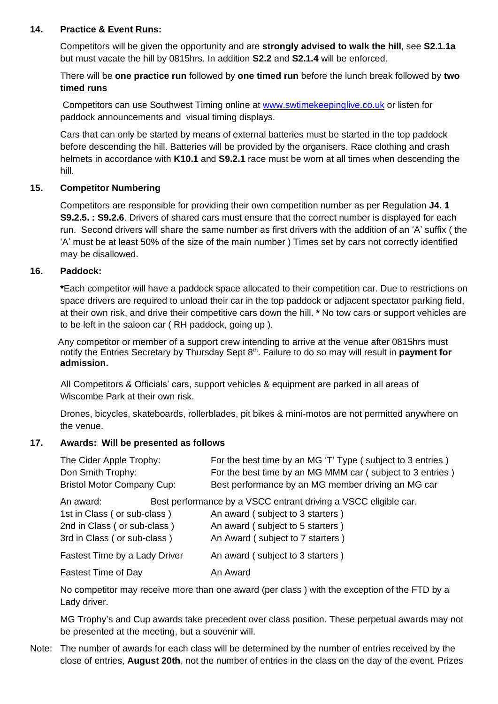### **14. Practice & Event Runs:**

Competitors will be given the opportunity and are **strongly advised to walk the hill**, see **S2.1.1a** but must vacate the hill by 0815hrs. In addition **S2.2** and **S2.1.4** will be enforced.

There will be **one practice run** followed by **one timed run** before the lunch break followed by **two timed runs**

Competitors can use Southwest Timing online at [www.swtimekeepinglive.co.uk](http://www.swtimekeepinglive.co.uk/) or listen for paddock announcements and visual timing displays.

Cars that can only be started by means of external batteries must be started in the top paddock before descending the hill. Batteries will be provided by the organisers. Race clothing and crash helmets in accordance with **K10.1** and **S9.2.1** race must be worn at all times when descending the hill.

# **15. Competitor Numbering**

Competitors are responsible for providing their own competition number as per Regulation **J4. 1 S9.2.5. : S9.2.6**. Drivers of shared cars must ensure that the correct number is displayed for each run. Second drivers will share the same number as first drivers with the addition of an 'A' suffix ( the 'A' must be at least 50% of the size of the main number ) Times set by cars not correctly identified may be disallowed.

# **16. Paddock:**

**\***Each competitor will have a paddock space allocated to their competition car. Due to restrictions on space drivers are required to unload their car in the top paddock or adjacent spectator parking field, at their own risk, and drive their competitive cars down the hill. **\*** No tow cars or support vehicles are to be left in the saloon car ( RH paddock, going up ).

 Any competitor or member of a support crew intending to arrive at the venue after 0815hrs must notify the Entries Secretary by Thursday Sept 8<sup>th</sup>. Failure to do so may will result in **payment for admission.**

 All Competitors & Officials' cars, support vehicles & equipment are parked in all areas of Wiscombe Park at their own risk.

Drones, bicycles, skateboards, rollerblades, pit bikes & mini-motos are not permitted anywhere on the venue.

#### **17. Awards: Will be presented as follows**

| The Cider Apple Trophy:<br>Don Smith Trophy:<br><b>Bristol Motor Company Cup:</b> |  | For the best time by an MG 'T' Type (subject to 3 entries)<br>For the best time by an MG MMM car (subject to 3 entries)<br>Best performance by an MG member driving an MG car |  |  |
|-----------------------------------------------------------------------------------|--|-------------------------------------------------------------------------------------------------------------------------------------------------------------------------------|--|--|
| An award:                                                                         |  | Best performance by a VSCC entrant driving a VSCC eligible car.                                                                                                               |  |  |
| 1st in Class (or sub-class)                                                       |  | An award (subject to 3 starters)                                                                                                                                              |  |  |
| 2nd in Class (or sub-class)                                                       |  | An award (subject to 5 starters)                                                                                                                                              |  |  |
| 3rd in Class (or sub-class)                                                       |  | An Award (subject to 7 starters)                                                                                                                                              |  |  |
| Fastest Time by a Lady Driver                                                     |  | An award (subject to 3 starters)                                                                                                                                              |  |  |
| <b>Fastest Time of Day</b>                                                        |  | An Award                                                                                                                                                                      |  |  |

No competitor may receive more than one award (per class ) with the exception of the FTD by a Lady driver.

MG Trophy's and Cup awards take precedent over class position. These perpetual awards may not be presented at the meeting, but a souvenir will.

Note: The number of awards for each class will be determined by the number of entries received by the close of entries, **August 20th**, not the number of entries in the class on the day of the event. Prizes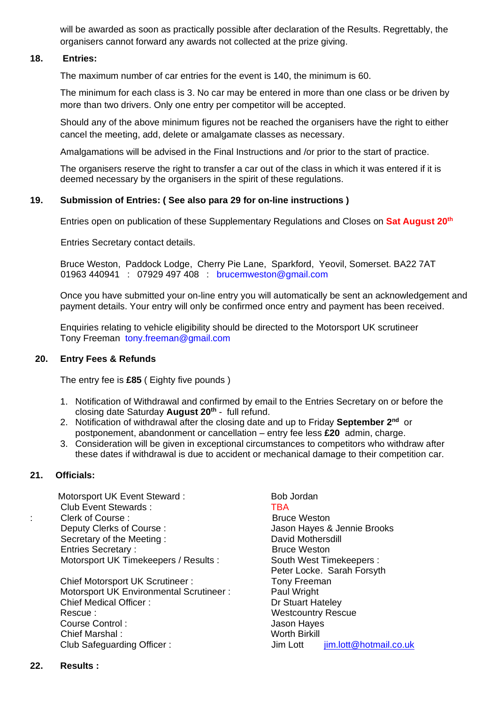will be awarded as soon as practically possible after declaration of the Results. Regrettably, the organisers cannot forward any awards not collected at the prize giving.

#### **18. Entries:**

The maximum number of car entries for the event is 140, the minimum is 60.

The minimum for each class is 3. No car may be entered in more than one class or be driven by more than two drivers. Only one entry per competitor will be accepted.

Should any of the above minimum figures not be reached the organisers have the right to either cancel the meeting, add, delete or amalgamate classes as necessary.

Amalgamations will be advised in the Final Instructions and /or prior to the start of practice.

The organisers reserve the right to transfer a car out of the class in which it was entered if it is deemed necessary by the organisers in the spirit of these regulations.

#### **19. Submission of Entries: ( See also para 29 for on-line instructions )**

Entries open on publication of these Supplementary Regulations and Closes on **Sat August 20 th**

**Entries Secretary contact details.** 

Bruce Weston, Paddock Lodge, Cherry Pie Lane, Sparkford, Yeovil, Somerset. BA22 7AT 01963 440941 : 07929 497 408 : [brucemweston@gmail.com](mailto:brucemweston@gmail.com)

Once you have submitted your on-line entry you will automatically be sent an acknowledgement and payment details. Your entry will only be confirmed once entry and payment has been received.

Enquiries relating to vehicle eligibility should be directed to the Motorsport UK scrutineer Tony Freeman [tony.freeman@gmail.com](mailto:tony.freeman@gmail.com)

#### **20. Entry Fees & Refunds**

The entry fee is **£85** ( Eighty five pounds )

- 1. Notification of Withdrawal and confirmed by email to the Entries Secretary on or before the closing date Saturday **August 20 th** - full refund.
- 2. Notification of withdrawal after the closing date and up to Friday September 2<sup>nd</sup> or postponement, abandonment or cancellation – entry fee less **£20** admin, charge.
- 3. Consideration will be given in exceptional circumstances to competitors who withdraw after these dates if withdrawal is due to accident or mechanical damage to their competition car.

#### **21. Officials:**

**Motorsport UK Event Steward : Bob Jordan** Club Event Stewards : TBA : Clerk of Course : Clerk of Course : Bruce Weston Deputy Clerks of Course : Jason Hayes & Jennie Brooks Secretary of the Meeting : David Mothersdill Entries Secretary : **Bruce Weston** Motorsport UK Timekeepers / Results : South West Timekeepers :

Chief Motorsport UK Scrutineer : Tony Freeman Motorsport UK Environmental Scrutineer : Paul Wright Chief Medical Officer : Dr Stuart Hateley Rescue : Westcountry Rescue Course Control : Gourse Control : Gourse Control : Jason Hayes Chief Marshal : Worth Birkill Club Safeguarding Officer : Jim Lott [jim.lott@hotmail.co.uk](mailto:jim.lott@hotmail.co.uk)

Peter Locke. Sarah Forsyth